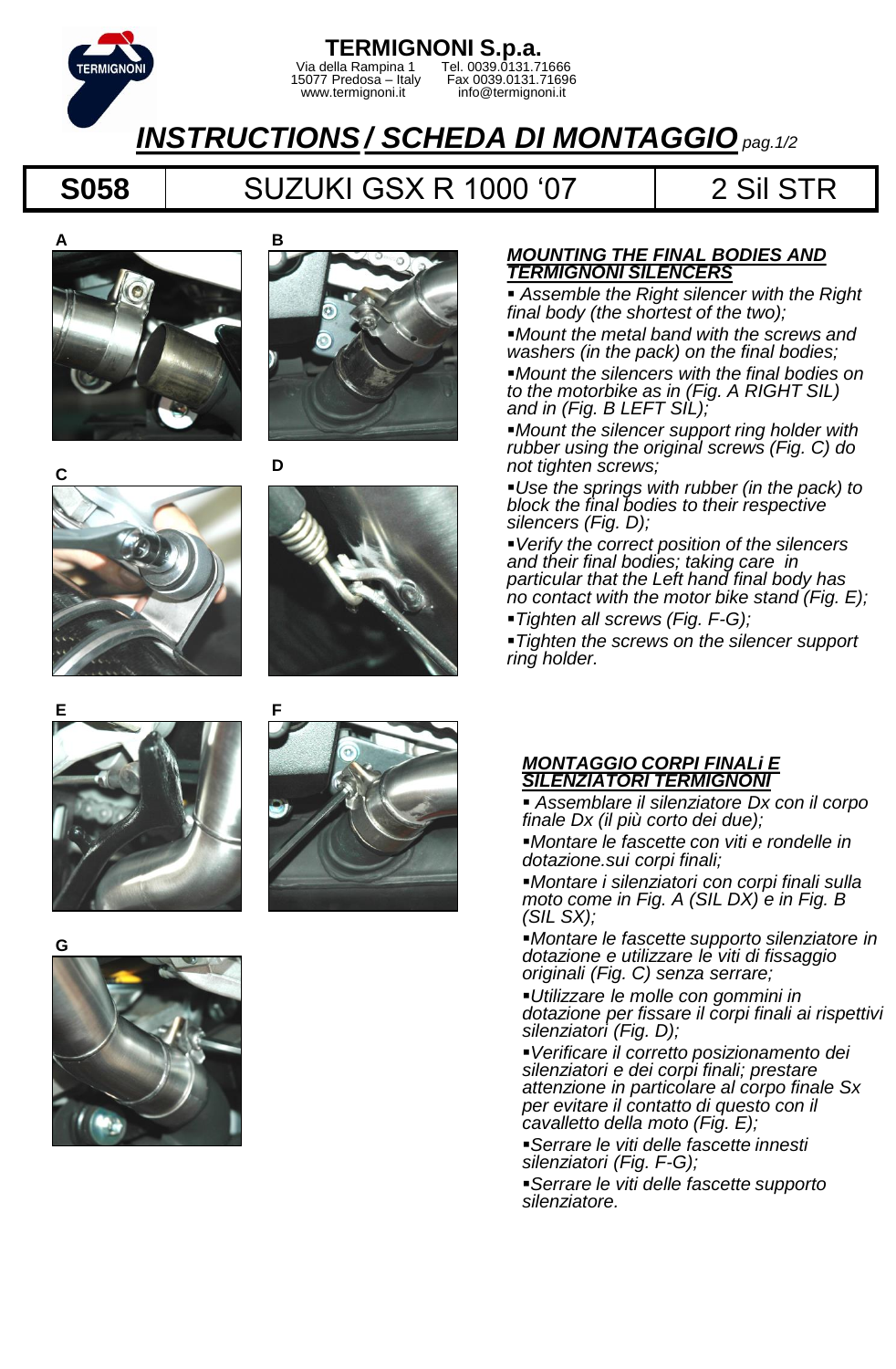

### **TERMIGNONI S.p.a.** Via della Rampina 1 Tel. 0039.0131.71666 15077 Predosa – Italy Fax 0039.0131.71696 15077 Predosa – Italy Fax 0039.0131.7169<br>www.termignoni.it info@termignoni.it

# *INSTRUCTIONS/ SCHEDA DI MONTAGGIOpag.1/2*

## **S058** SUZUKI GSX R 1000 '07 | 2 Sil STR





**D**











### *MOUNTING THE FINAL BODIES AND TERMIGNONI SILENCERS*

 *Assemble the Right silencer with the Right final body (the shortest of the two);*

*Mount the metal band with the screws and washers (in the pack) on the final bodies; Mount the silencers with the final bodies on to the motorbike as in (Fig. A RIGHT SIL) and in (Fig. B LEFT SIL);*

*Mount the silencer support ring holder with rubber using the original screws (Fig. C) do not tighten screws;*

*Use the springs with rubber (in the pack) to block the final bodies to their respective silencers (Fig. D);*

*Verify the correct position of the silencers and their final bodies; taking care in particular that the Left hand final body has no contact with the motor bike stand (Fig. E);*

*Tighten all screws (Fig. F-G);*

*Tighten the screws on the silencer support ring holder.*

#### *MONTAGGIO CORPI FINALi E SILENZIATORI TERMIGNONI*

 *Assemblare il silenziatore Dx con il corpo finale Dx (il più corto dei due);*

*Montare le fascette con viti e rondelle in dotazione.sui corpi finali;*

*Montare i silenziatori con corpi finali sulla moto come in Fig. A (SIL DX) e in Fig. B (SIL SX);*

*Montare le fascette supporto silenziatore in dotazione e utilizzare le viti di fissaggio originali (Fig. C) senza serrare;*

*Utilizzare le molle con gommini in dotazione per fissare il corpi finali ai rispettivi silenziatori (Fig. D);*

*Verificare il corretto posizionamento dei silenziatori e dei corpi finali; prestare attenzione in particolare al corpo finale Sx per evitare il contatto di questo con il cavalletto della moto (Fig. E);*

*Serrare le viti delle fascette innesti silenziatori (Fig. F-G);*

*Serrare le viti delle fascette supporto silenziatore.*